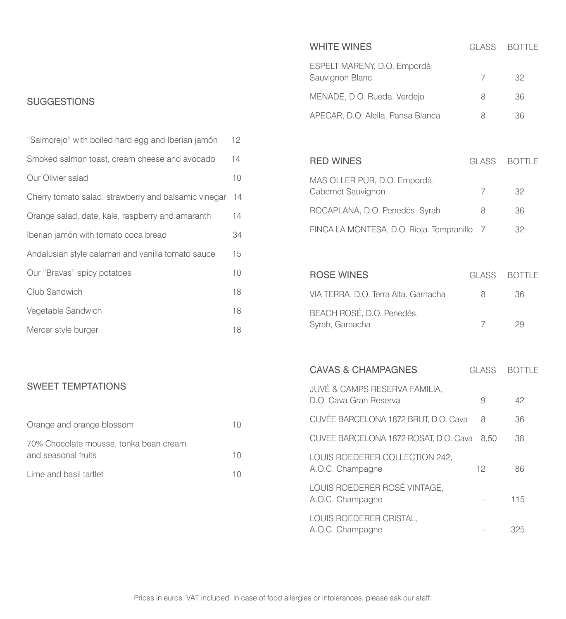## **SUGGESTIONS**

| "Salmorejo" with boiled hard egg and Iberian jamón   | 12 <sup>2</sup> |
|------------------------------------------------------|-----------------|
| Smoked salmon toast, cream cheese and avocado        | 14              |
| Our Olivier salad                                    | 10              |
| Cherry tomato salad, strawberry and balsamic vinegar | 14              |
| Orange salad, date, kale, raspberry and amaranth     | 14              |
| Iberian jamón with tomato coca bread                 | 34              |
| Andalusian style calamari and vanilla tomato sauce   | 15              |
| Our "Bravas" spicy potatoes                          | 10              |
| Club Sandwich                                        | 18              |
| Vegetable Sandwich                                   | 18              |
| Mercer style burger                                  | 18              |

#### SWEET TEMPTATIONS

| Orange and orange blossom                                     | 10. |
|---------------------------------------------------------------|-----|
| 70% Chocolate mousse, tonka bean cream<br>and seasonal fruits | 10. |
| Lime and basil tartlet                                        | 10  |

| <b>WHITE WINES</b>                                                 | <b>GLASS</b> | <b>BOTTLE</b> |
|--------------------------------------------------------------------|--------------|---------------|
| ESPELT MARENY, D.O. Empordà.<br>Sauvignon Blanc                    | 7            | 32            |
| MENADE, D.O. Rueda. Verdejo                                        | 8            | 36            |
| APECAR, D.O. Alella. Pansa Blanca                                  | 8            | 36            |
|                                                                    |              |               |
| <b>RED WINES</b>                                                   | <b>GLASS</b> | <b>BOTTLE</b> |
| MAS OLLER PUR, D.O. Empordà.<br>Cabernet Sauvignon                 | 7            | 32            |
| ROCAPLANA, D.O. Penedès. Syrah                                     | 8            | 36            |
| FINCA LA MONTESA, D.O. Rioja. Tempranillo                          | 7            | 32            |
|                                                                    |              |               |
| <b>ROSE WINES</b>                                                  | <b>GLASS</b> | <b>BOTTLE</b> |
| VIA TERRA, D.O. Terra Alta. Garnacha                               | 8            | 36            |
| BEACH ROSÉ, D.O. Penedès.<br>Syrah, Garnacha                       | 7            | 29            |
|                                                                    |              |               |
| <b>CAVAS &amp; CHAMPAGNES</b>                                      | <b>GLASS</b> | <b>BOTTLE</b> |
| <b>JUVÉ &amp; CAMPS RESERVA FAMILIA,</b><br>D.O. Cava Gran Reserva | 9            | 42            |
| CUVÉE BARCELONA 1872 BRUT, D.O. Cava                               | 8            | 36            |
| CUVEE BARCELONA 1872 ROSAT, D.O. Cava                              | 8,50         | 38            |
| LOUIS ROEDERER COLLECTION 242,<br>A.O.C. Champagne                 | 12           | 86            |
| LOUIS ROEDERER ROSÉ VINTAGE,<br>A.O.C. Champagne                   |              | 115           |
| LOUIS ROEDERER CRISTAL,<br>A.O.C. Champagne                        |              | 325           |
|                                                                    |              |               |